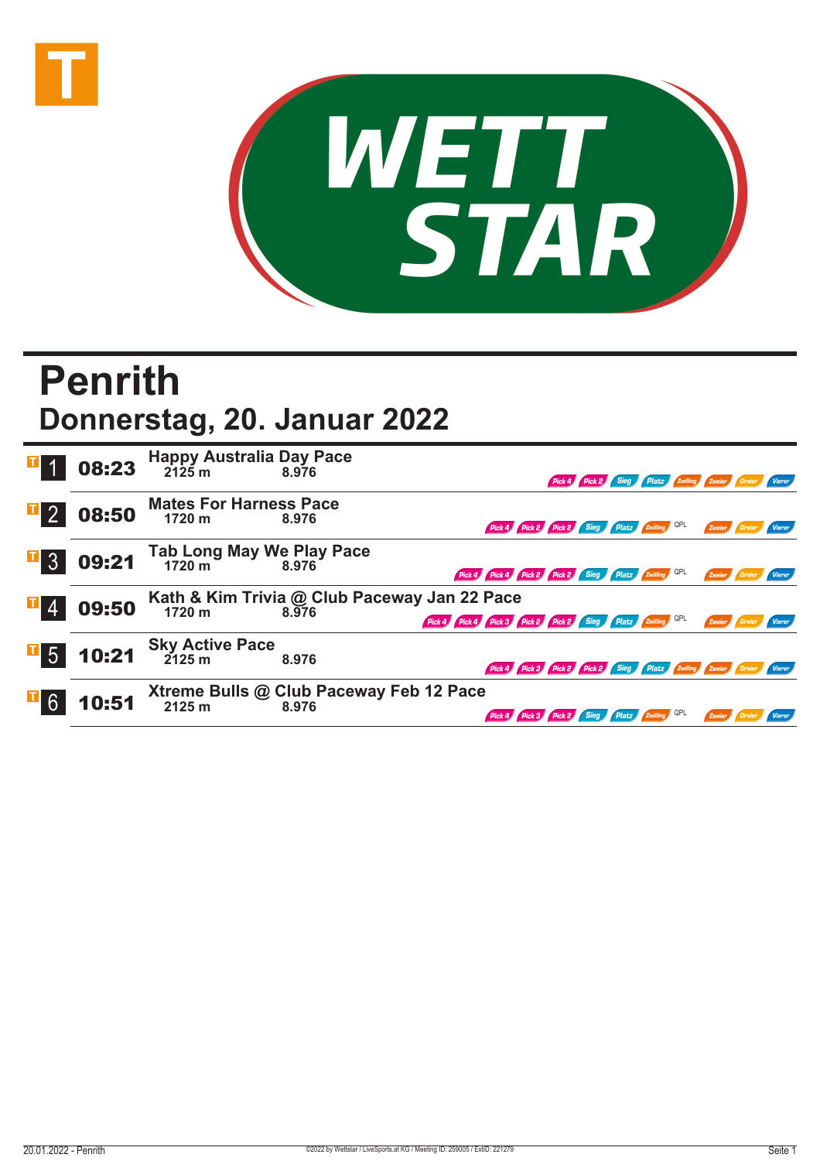



## **Penrith Donnerstag, 20. Januar 2022**

|                  | 08:23 | Happy Australia Day Pace<br>2125 m<br>8.976  | 8.976                                                 |                                                                      |  | Pick 4 Pick 2 Sieg Platz Zwilling Zweier Dreier Vierer |               |                      |        |
|------------------|-------|----------------------------------------------|-------------------------------------------------------|----------------------------------------------------------------------|--|--------------------------------------------------------|---------------|----------------------|--------|
| $\mathbb{F}_2$   | 08:50 | <b>Mates For Harness Pace</b><br>1720 m      | 8.976                                                 | Pick 4 Pick 2 Pick 2 Sieg Platz Zwilling QPL                         |  |                                                        |               | Zweier Dreier Vierer |        |
| $\overline{1}$ 3 | 09:21 | Tab Long May We Play Pace<br>1720 m<br>8.976 |                                                       | Pick 4 Pick 4 Pick 2 Pick 2 Sieg Platz Zwilling QPL                  |  |                                                        |               | Zweier Dreier        | Vierer |
|                  | 09:50 | 1720 m                                       | Kath & Kim Trivia @ Club Paceway Jan 22 Pace<br>8.976 | Pick 4 Pick 4 Pick 3 Pick 2 Pick 2 Sieg Platz Zwilling QPL           |  |                                                        | Zweier Dreier |                      | Vierer |
| $\mathbf{F}$ 5   | 10:21 | <b>Sky Active Pace</b><br>2125 m             | 8.976                                                 | Pick 4 Pick 3 Pick 2 Pick 2 Sieg Platz Zwilling Zweier Dreier Vierer |  |                                                        |               |                      |        |
|                  | 10:51 | 2125 m                                       | Xtreme Bulls @ Club Paceway Feb 12 Pace<br>8.976      | Pick 4 Pick 3 Pick 2 Sieg Platz Zwilling QPL                         |  |                                                        | Zweier        |                      |        |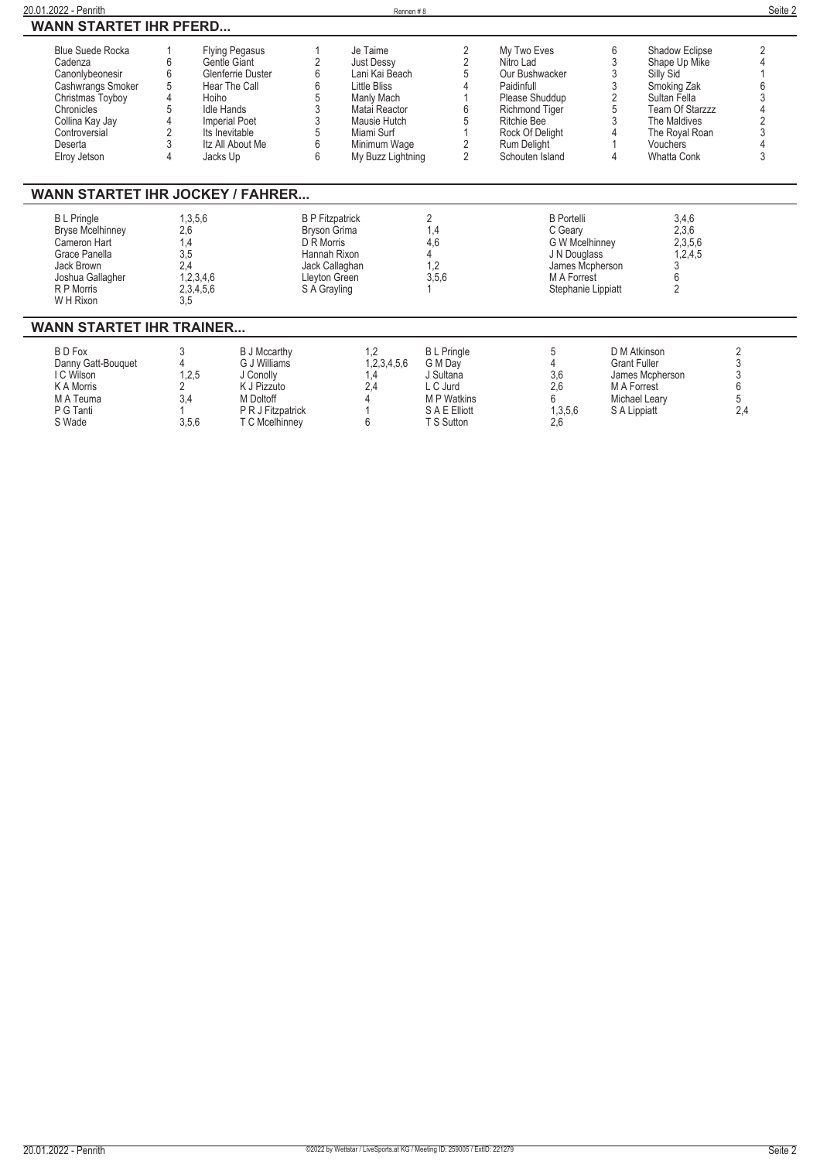| 20.01.2022 - Penrith                    |                |                                   |                     | Rennen#8                            |                   |                             |                    |                             | Seite 2        |
|-----------------------------------------|----------------|-----------------------------------|---------------------|-------------------------------------|-------------------|-----------------------------|--------------------|-----------------------------|----------------|
| <b>WANN STARTET IHR PFERD</b>           |                |                                   |                     |                                     |                   |                             |                    |                             |                |
| <b>Blue Suede Rocka</b>                 |                | Flying Pegasus                    |                     | Je Taime                            | 2                 | My Two Eves                 | 6                  | Shadow Eclipse              | $\overline{2}$ |
| Cadenza                                 | 6<br>6         | Gentle Giant<br>Glenferrie Duster | 2<br>6              | <b>Just Dessy</b><br>Lani Kai Beach | $\sqrt{2}$<br>5   | Nitro Lad<br>Our Bushwacker | 3<br>3             | Shape Up Mike               |                |
| Canonlybeonesir                         | 5              | Hear The Call                     | 6                   | Little Bliss                        |                   | Paidinfull                  | 3                  | Silly Sid                   |                |
| Cashwrangs Smoker<br>Christmas Toyboy   | 4              | Hoiho                             | 5                   | Manly Mach                          |                   | Please Shuddup              | $\overline{2}$     | Smoking Zak<br>Sultan Fella |                |
| Chronicles                              | 5              | <b>Idle Hands</b>                 | 3                   | Matai Reactor                       | 6                 | <b>Richmond Tiger</b>       | 5                  | Team Of Starzzz             |                |
| Collina Kay Jay                         | $\Delta$       | <b>Imperial Poet</b>              | 3                   | Mausie Hutch                        | 5                 | <b>Ritchie Bee</b>          | 3                  | The Maldives                |                |
| Controversial                           | $\overline{2}$ | Its Inevitable                    | 5                   | Miami Surf                          |                   | Rock Of Deliaht             |                    | The Royal Roan              |                |
| Deserta                                 | 3              | Itz All About Me                  | 6                   | Minimum Wage                        | 2                 | Rum Delight                 |                    | Vouchers                    |                |
| Elroy Jetson                            | 4              | Jacks Up                          | 6                   | My Buzz Lightning                   | $\overline{2}$    | Schouten Island             | Δ                  | Whatta Conk                 | 3              |
|                                         |                |                                   |                     |                                     |                   |                             |                    |                             |                |
| <b>WANN STARTET IHR JOCKEY / FAHRER</b> |                |                                   |                     |                                     |                   |                             |                    |                             |                |
| <b>B</b> L Pringle                      |                | 1,3,5,6                           |                     | <b>B P Fitzpatrick</b>              | 2                 | <b>B</b> Portelli           |                    | 3,4,6                       |                |
| <b>Bryse Mcelhinney</b>                 | 2,6            |                                   | <b>Bryson Grima</b> |                                     | 1,4               | C Geary                     |                    | 2,3,6                       |                |
| Cameron Hart                            | 1,4            |                                   | D R Morris          |                                     | 4,6               | G W Mcelhinney              |                    | 2,3,5,6                     |                |
| Grace Panella                           | 3,5            |                                   | Hannah Rixon        |                                     | 4                 | J N Douglass                |                    | 1,2,4,5                     |                |
| Jack Brown                              | 2.4            |                                   |                     | Jack Callaghan                      | 1,2               |                             | James Mcpherson    | 3                           |                |
| Joshua Gallagher                        |                | 1,2,3,4,6                         | Lleyton Green       |                                     | 3,5,6             | M A Forrest                 |                    | 6                           |                |
| R P Morris                              |                | 2,3,4,5,6                         | S A Grayling        |                                     |                   |                             | Stephanie Lippiatt | $\overline{2}$              |                |
| W H Rixon                               | 3.5            |                                   |                     |                                     |                   |                             |                    |                             |                |
| <b>WANN STARTET IHR TRAINER</b>         |                |                                   |                     |                                     |                   |                             |                    |                             |                |
| <b>BD</b> Fox                           | 3              | <b>B J Mccarthy</b>               |                     | 1,2                                 | <b>BL</b> Pringle | 5                           |                    | D M Atkinson                | $\overline{2}$ |
| Danny Gatt-Bouquet                      | 4              | G J Williams                      |                     | 1,2,3,4,5,6                         | G M Day           | 4                           |                    | <b>Grant Fuller</b>         | 3              |
| I C Wilson                              |                | 1,2,5<br>J Conolly                |                     | 1,4                                 | J Sultana         | 3,6                         |                    | James Mcpherson             | $\overline{3}$ |
| K A Morris                              | 2              | K J Pizzuto                       |                     | 2.4                                 | L C Jurd          | 2.6                         |                    | M A Forrest                 | 6              |
| M A Teuma                               | 3,4            | M Doltoff                         |                     |                                     | <b>MP</b> Watkins | ĥ                           |                    | Michael Leary               | 5              |
| P G Tanti                               |                | P R J Fitzpatrick                 |                     |                                     | S A E Elliott     | 1,3,5,6                     |                    | S A Lippiatt                | 2,4            |
| S Wade                                  |                | 3.5.6<br>T C Mcelhinney           |                     | 6                                   | T S Sutton        | 2,6                         |                    |                             |                |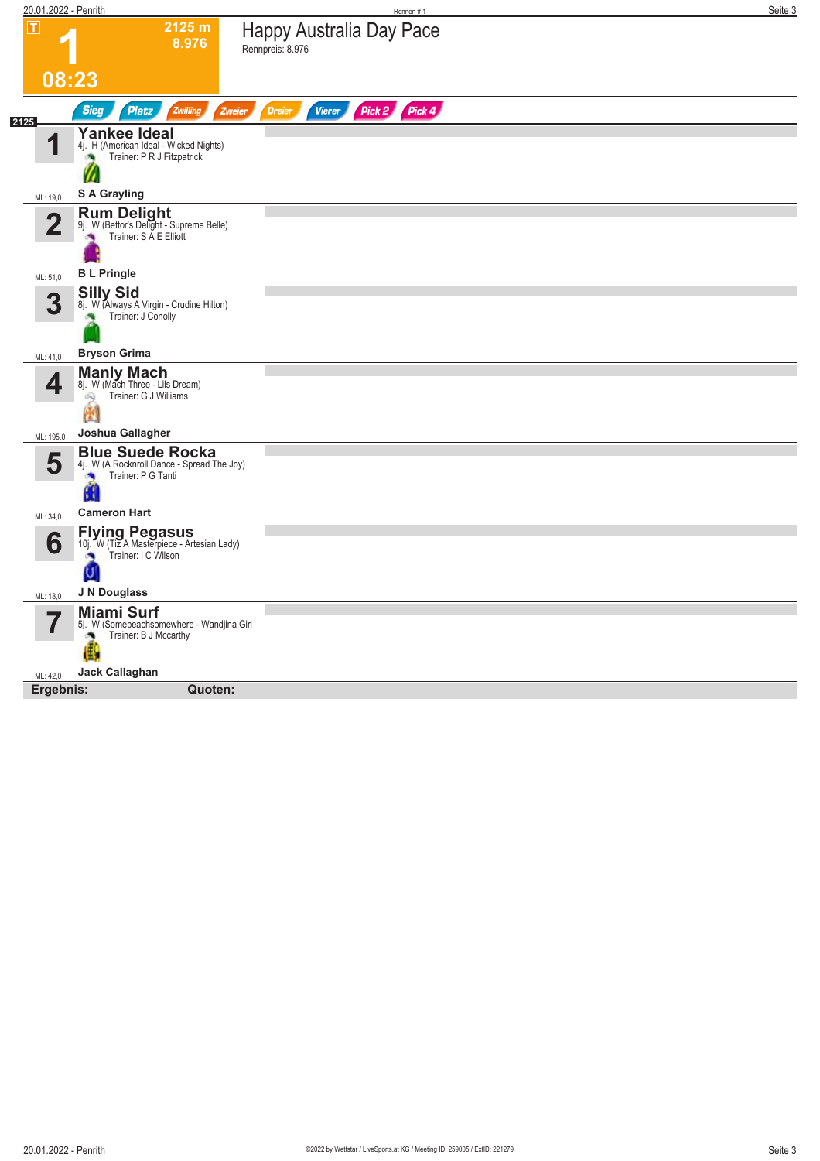| 20.01.2022 - Penrith |                                                                                                  |                                                     | Rennen#1      | Seite 3 |
|----------------------|--------------------------------------------------------------------------------------------------|-----------------------------------------------------|---------------|---------|
| $ \mathsf{T} $       | 2125 m<br>8.976                                                                                  | <b>Happy Australia Day Pace</b><br>Rennpreis: 8.976 |               |         |
| 08:23                |                                                                                                  |                                                     |               |         |
| 2125                 | <b>Sieg</b><br>Platz<br>Zwilling<br>Zweier                                                       | <b>Vierer</b><br><b>Dreier</b>                      | Pick 2 Pick 4 |         |
| И                    | <b>Yankee Ideal</b><br>4j. H (American Ideal - Wicked Nights)<br>Trainer: P R J Fitzpatrick      |                                                     |               |         |
| ML: 19,0             | <b>S A Grayling</b>                                                                              |                                                     |               |         |
| $\overline{2}$       | <b>Rum Delight</b><br>9j. W (Bettor's Delight - Supreme Belle)<br>Trainer: S A E Elliott<br>×    |                                                     |               |         |
| ML: 51,0             | <b>BL</b> Pringle                                                                                |                                                     |               |         |
| 3                    | <b>Silly Sid</b><br>8j. W (Always A Virgin - Crudine Hilton)<br>Trainer: J Conolly               |                                                     |               |         |
| ML: 41,0             | <b>Bryson Grima</b>                                                                              |                                                     |               |         |
| 4                    | <b>Manly Mach</b><br>8j. W (Mach Three - Lils Dream)<br>Trainer: G J Williams<br>9<br>圈          |                                                     |               |         |
| ML: 195,0            | Joshua Gallagher                                                                                 |                                                     |               |         |
| 5                    | <b>Blue Suede Rocka</b><br>4j. W (A Rocknroll Dance - Spread The Joy)<br>Trainer: P G Tanti<br>ш |                                                     |               |         |
| ML: 34,0             | <b>Cameron Hart</b>                                                                              |                                                     |               |         |
| 6                    | <b>Flying Pegasus</b><br>10j. W (Tiz A Masterpiece - Artesian Lady)<br>Trainer: I C Wilson<br>U  |                                                     |               |         |
| ML: 18,0             | J N Douglass                                                                                     |                                                     |               |         |
| 7                    | <b>Miami Surf</b><br>5j. W (Somebeachsomewhere - Wandjina Girl<br>Trainer: B J Mccarthy<br>ò     |                                                     |               |         |
| ML: 42,0             | Jack Callaghan                                                                                   |                                                     |               |         |
| Ergebnis:            | Quoten:                                                                                          |                                                     |               |         |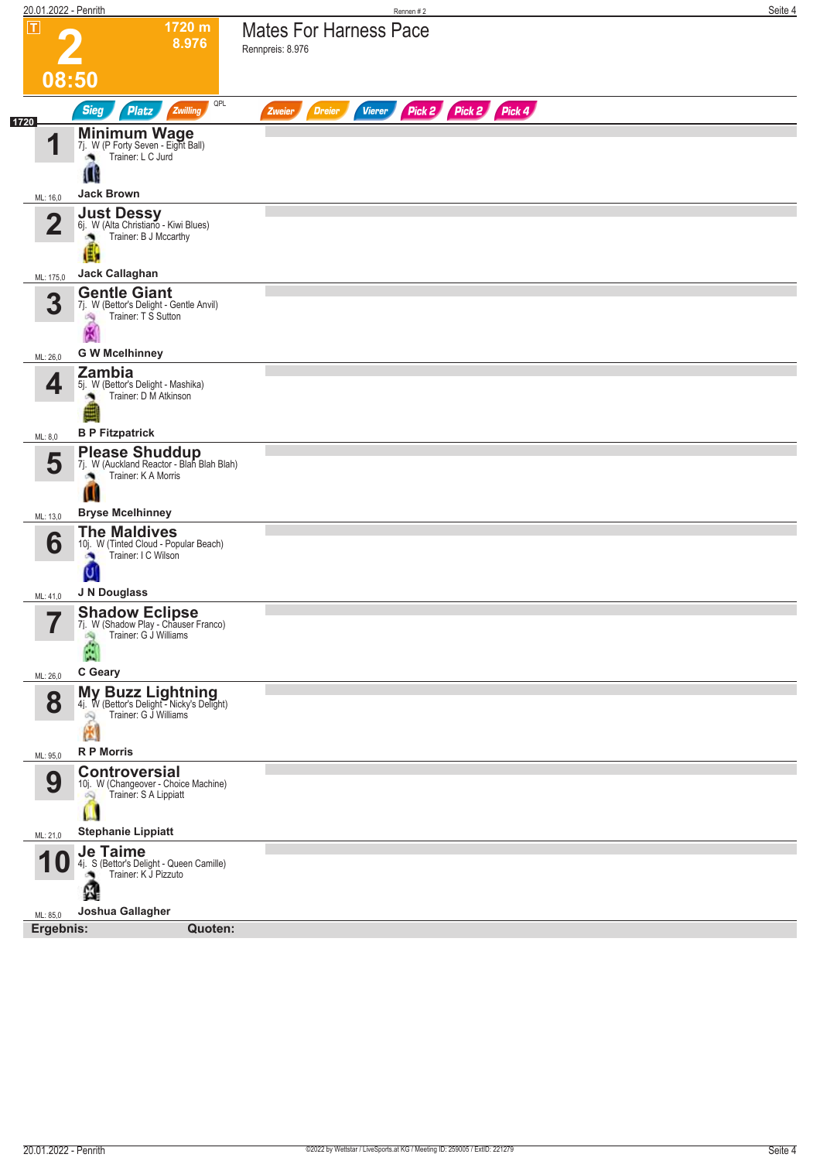|                    | 20.01.2022 - Penrith                                                                |                                                                                           | Rennen#2                                                         | Seite 4 |
|--------------------|-------------------------------------------------------------------------------------|-------------------------------------------------------------------------------------------|------------------------------------------------------------------|---------|
| $\boxed{\text{T}}$ |                                                                                     | 1720 m<br>8.976                                                                           | <b>Mates For Harness Pace</b><br>Rennpreis: 8.976                |         |
|                    | 08:50                                                                               |                                                                                           |                                                                  |         |
| 1720               | <b>Sieg</b>                                                                         | QPL<br><b>Platz</b><br>Zwilling                                                           | Pick 2 Pick 2 Pick 4<br><b>Vierer</b><br><b>Dreier</b><br>Zweier |         |
|                    | И<br>۸<br>Ш                                                                         | <b>Minimum Wage</b><br>7j. W (P Forty Seven - Eight Ball)<br>Trainer: L C Jurd            |                                                                  |         |
|                    | <b>Jack Brown</b><br>ML: 16,0                                                       |                                                                                           |                                                                  |         |
|                    | $\mathbf 2$                                                                         | Just Dessy<br>6j. W (Alta Christiano - Kiwi Blues)<br>Trainer: B J Mccarthy               |                                                                  |         |
|                    | <b>Jack Callaghan</b><br>ML: 175,0                                                  |                                                                                           |                                                                  |         |
|                    | <b>Gentle Giant</b><br>3<br>淘<br>X                                                  | 7j. W (Bettor's Delight - Gentle Anvil)<br>Trainer: T S Sutton                            |                                                                  |         |
|                    | <b>G W Mcelhinney</b><br>ML: 26,0                                                   |                                                                                           |                                                                  |         |
|                    | Zambia<br>4                                                                         | 5j. W (Bettor's Delight - Mashika)<br>Trainer: D M Atkinson                               |                                                                  |         |
| ML: 8,0            | <b>B P Fitzpatrick</b>                                                              |                                                                                           |                                                                  |         |
|                    | 5<br>W                                                                              | <b>Please Shuddup</b><br>7j. W (Auckland Reactor - Blah Blah Blah)<br>Trainer: K A Morris |                                                                  |         |
|                    | <b>Bryse Mcelhinney</b><br>ML: 13,0                                                 |                                                                                           |                                                                  |         |
|                    | <b>The Maldives</b><br>6<br>×<br>Ų                                                  | 10j. W (Tinted Cloud - Popular Beach)<br>Trainer: I C Wilson                              |                                                                  |         |
|                    | J N Douglass<br>ML: 41,0                                                            |                                                                                           |                                                                  |         |
|                    | 57<br>М<br>C Geary<br>ML: 26,0                                                      | <b>Shadow Eclipse</b><br>7j. W (Shadow Play - Chauser Franco)<br>Trainer: G J Williams    |                                                                  |         |
|                    | 8<br>Q<br>圈                                                                         | My Buzz Lightning<br>4j. W (Bettor's Delight - Nicky's Delight)<br>Trainer: G J Williams  |                                                                  |         |
|                    | <b>R P Morris</b><br>ML: 95,0                                                       |                                                                                           |                                                                  |         |
|                    | <b>Controversial</b><br>9<br>$\infty$<br>ш<br><b>Stephanie Lippiatt</b><br>ML: 21,0 | 10j. W (Changeover - Choice Machine)<br>Trainer: S A Lippiatt                             |                                                                  |         |
|                    | <b>Je Taime</b>                                                                     |                                                                                           |                                                                  |         |
|                    | U<br>z.<br>Joshua Gallagher                                                         | 4j. S (Bettor's Delight - Queen Camille)<br>Trainer: K J Pizzuto                          |                                                                  |         |
|                    | ML: 85,0<br>Ergebnis:                                                               | Quoten:                                                                                   |                                                                  |         |
|                    |                                                                                     |                                                                                           |                                                                  |         |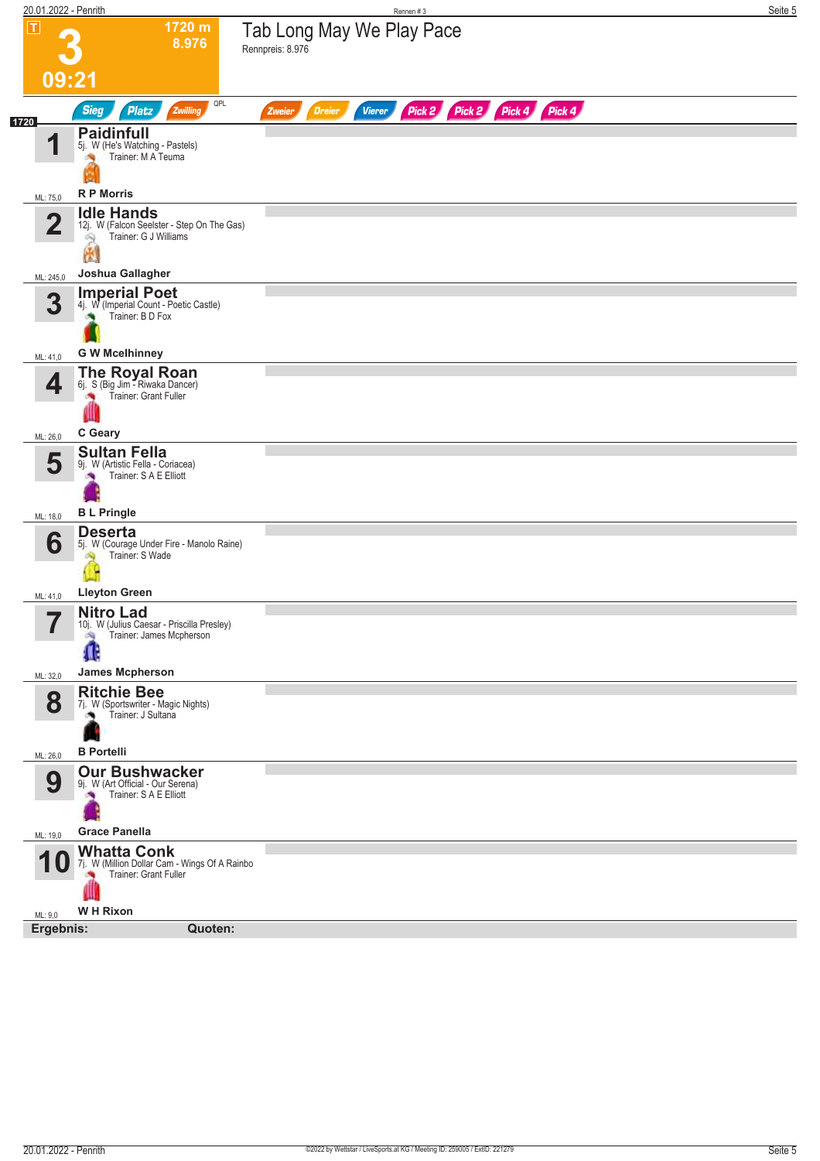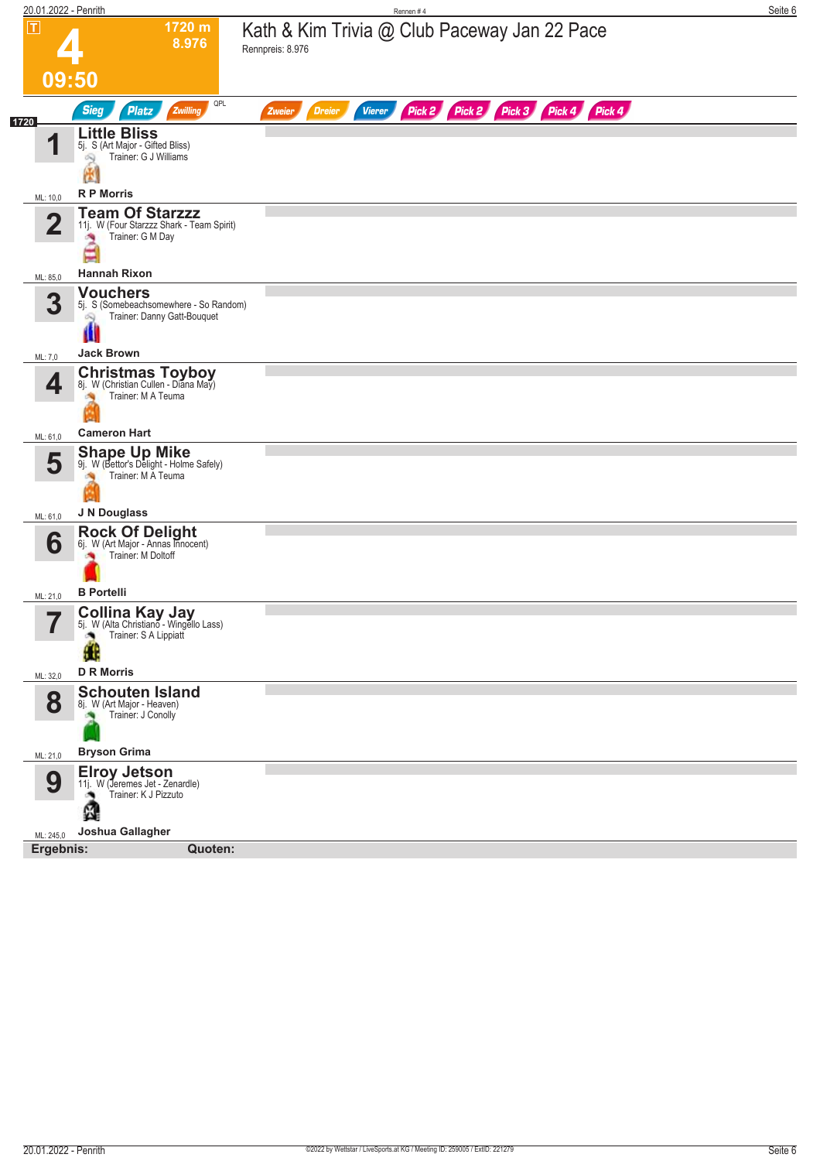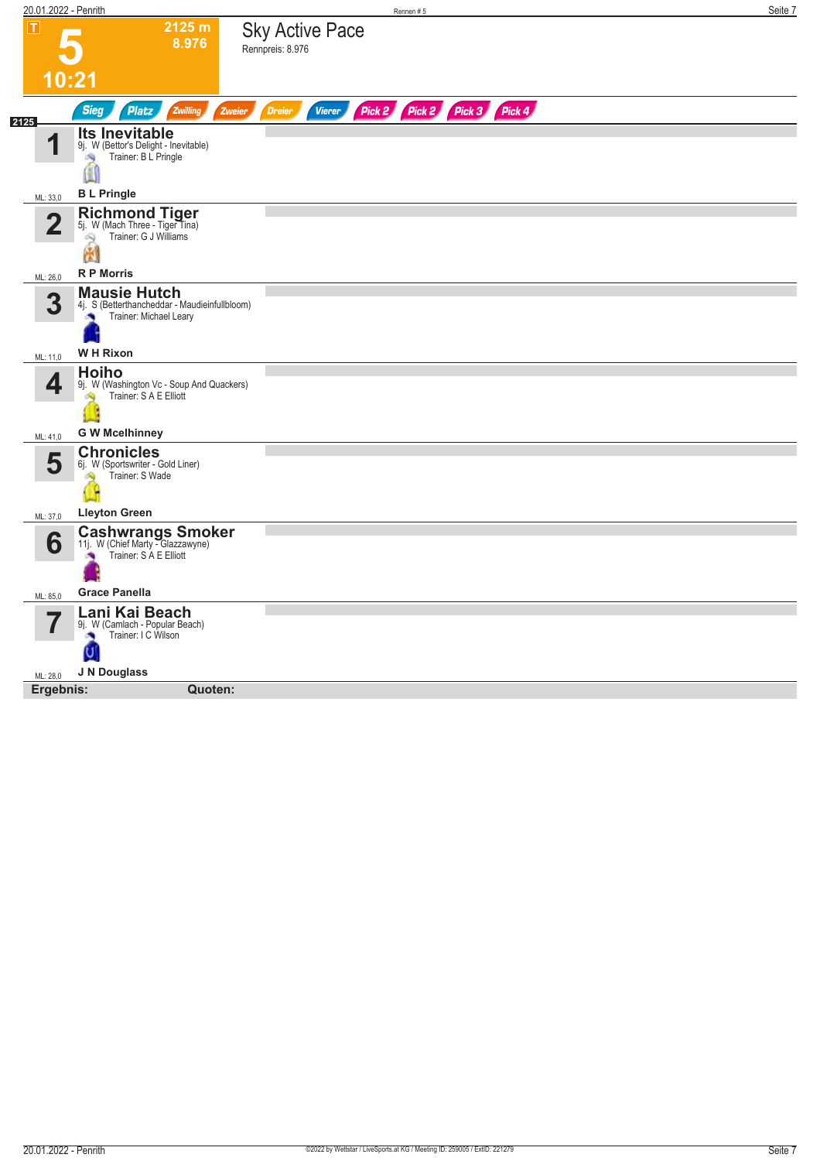| 20.01.2022 - Penrith |                                                                                                   |                                            | Rennen #5 |                             | Seite 7 |
|----------------------|---------------------------------------------------------------------------------------------------|--------------------------------------------|-----------|-----------------------------|---------|
| $\boxed{\text{T}}$   | 2125 m<br>8.976                                                                                   | <b>Sky Active Pace</b><br>Rennpreis: 8.976 |           |                             |         |
|                      | 10:21                                                                                             |                                            |           |                             |         |
| 2125                 | <b>Sieg</b><br>Platz<br>Zwilling                                                                  | <b>Dreier</b><br>Vierer<br><b>Zweier</b>   |           | Pick 2 Pick 2 Pick 3 Pick 4 |         |
| И                    | <b>Its Inevitable</b><br>9j. W (Bettor's Delight - Inevitable)<br>Trainer: B L Pringle<br>69<br>≝ |                                            |           |                             |         |
| ML: 33,0             | <b>BL Pringle</b>                                                                                 |                                            |           |                             |         |
| 2                    | Richmond Tiger<br>5j. W (Mach Three - Tiger Tina)<br>Trainer: G J Williams<br>ô9                  |                                            |           |                             |         |
|                      | 圈                                                                                                 |                                            |           |                             |         |
| ML: 26,0             | <b>R P Morris</b>                                                                                 |                                            |           |                             |         |
| 3                    | <b>Mausie Hutch</b><br>4j. S (Betterthancheddar - Maudieinfullbloom)<br>Trainer: Michael Leary    |                                            |           |                             |         |
| ML: 11,0             | <b>WH Rixon</b>                                                                                   |                                            |           |                             |         |
| 4                    | <b>Hoiho</b><br>9j. W (Washington Vc - Soup And Quackers)<br>Trainer: S A E Elliott<br>S.         |                                            |           |                             |         |
| ML: 41,0             | <b>G W Mcelhinney</b>                                                                             |                                            |           |                             |         |
| 5                    | <b>Chronicles</b><br>6j. W (Sportswriter - Gold Liner)<br>Trainer: S Wade<br>S)                   |                                            |           |                             |         |
| ML: 37,0             | <b>Lleyton Green</b>                                                                              |                                            |           |                             |         |
| 6                    | <b>Cashwrangs Smoker</b><br>11j. W (Chief Marty - Glazzawyne)<br>Trainer: S A E Elliott<br>×      |                                            |           |                             |         |
| ML: 85,0             | <b>Grace Panella</b>                                                                              |                                            |           |                             |         |
| 7                    | Lani Kai Beach<br>9j. W (Camlach - Popular Beach)<br>Trainer: I C Wilson<br>×<br>U                |                                            |           |                             |         |
| ML: 28,0             | J N Douglass                                                                                      |                                            |           |                             |         |
| Ergebnis:            | Quoten:                                                                                           |                                            |           |                             |         |
|                      |                                                                                                   |                                            |           |                             |         |